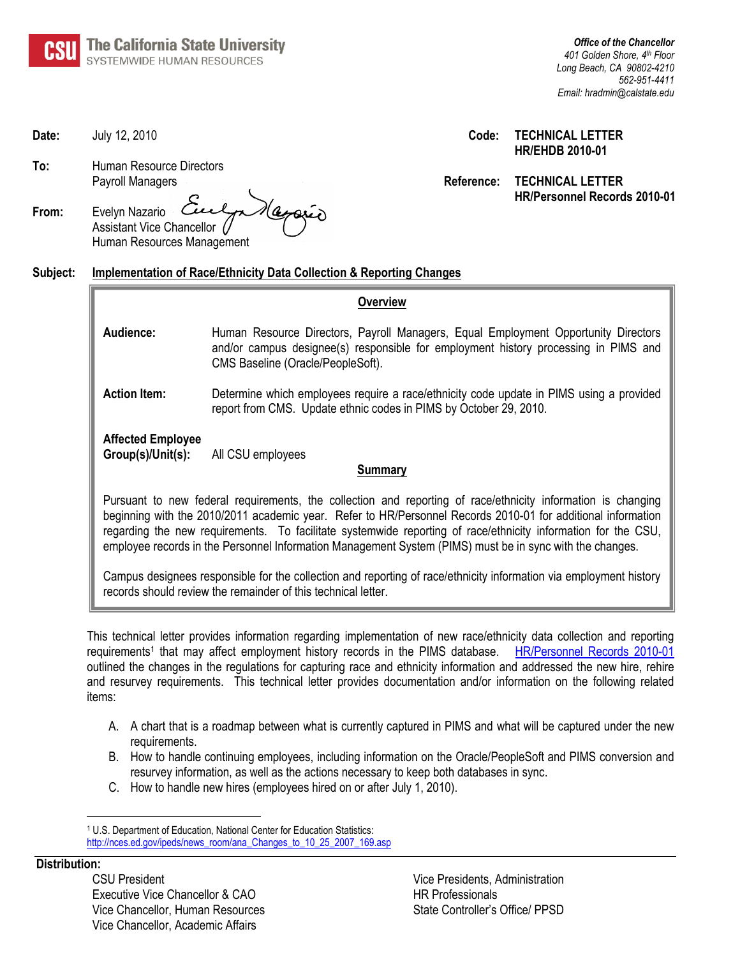

*Office of the Chancellor 401 Golden Shore, 4th Floor Long Beach, CA 90802-4210 562-951-4411 Email: hradmin@calstate.edu*

#### **Date:** July 12, 2010 **Code: TECHNICAL LETTER HR/EHDB 2010-01**

**Reference: TECHNICAL LETTER HR/Personnel Records 2010-01**

|       | Payroll Managers                                                                           |
|-------|--------------------------------------------------------------------------------------------|
| From: | Evelyn Nazario Culpa Nagrain<br>Assistant Vice Chancellor (/<br>Human Resources Management |

**To:** Human Resource Directors

### **Subject: Implementation of Race/Ethnicity Data Collection & Reporting Changes**

| Overview                                                                                                                                                                                                                                                                                                                                                                                                                                                  |                                                                                                                                                                                                                |  |  |  |  |
|-----------------------------------------------------------------------------------------------------------------------------------------------------------------------------------------------------------------------------------------------------------------------------------------------------------------------------------------------------------------------------------------------------------------------------------------------------------|----------------------------------------------------------------------------------------------------------------------------------------------------------------------------------------------------------------|--|--|--|--|
| Audience:                                                                                                                                                                                                                                                                                                                                                                                                                                                 | Human Resource Directors, Payroll Managers, Equal Employment Opportunity Directors<br>and/or campus designee(s) responsible for employment history processing in PIMS and<br>CMS Baseline (Oracle/PeopleSoft). |  |  |  |  |
| <b>Action Item:</b>                                                                                                                                                                                                                                                                                                                                                                                                                                       | Determine which employees require a race/ethnicity code update in PIMS using a provided<br>report from CMS. Update ethnic codes in PIMS by October 29, 2010.                                                   |  |  |  |  |
| <b>Affected Employee</b><br>Group(s)/Unit(s):<br>All CSU employees<br>Summarv                                                                                                                                                                                                                                                                                                                                                                             |                                                                                                                                                                                                                |  |  |  |  |
| Pursuant to new federal requirements, the collection and reporting of race/ethnicity information is changing<br>beginning with the 2010/2011 academic year. Refer to HR/Personnel Records 2010-01 for additional information<br>regarding the new requirements. To facilitate systemwide reporting of race/ethnicity information for the CSU,<br>employee records in the Personnel Information Management System (PIMS) must be in sync with the changes. |                                                                                                                                                                                                                |  |  |  |  |
| Campus designees responsible for the collection and reporting of race/ethnicity information via employment history<br>records should review the remainder of this technical letter.                                                                                                                                                                                                                                                                       |                                                                                                                                                                                                                |  |  |  |  |

This technical letter provides information regarding implementation of new race/ethnicity data collection and reporting requirements<sup>1</sup> that may affect employment history records in the PIMS database. [HR/Personnel Records 2010-01](http://www.calstate.edu/HRAdm/pdf2010/TL-PR2010-01.pdf) outlined the changes in the regulations for capturing race and ethnicity information and addressed the new hire, rehire and resurvey requirements. This technical letter provides documentation and/or information on the following related items:

- A. A chart that is a roadmap between what is currently captured in PIMS and what will be captured under the new requirements.
- B. How to handle continuing employees, including information on the Oracle/PeopleSoft and PIMS conversion and resurvey information, as well as the actions necessary to keep both databases in sync.
- C. How to handle new hires (employees hired on or after July 1, 2010).

### **Distribution:**

 $\overline{a}$ 

CSU President Vice Presidents, Administration Executive Vice Chancellor & CAO HR Professionals Vice Chancellor, Human Resources State Controller's Office/ PPSD Vice Chancellor, Academic Affairs

<sup>1</sup> U.S. Department of Education, National Center for Education Statistics: [http://nces.ed.gov/ipeds/news\\_room/ana\\_Changes\\_to\\_10\\_25\\_2007\\_169.asp](http://nces.ed.gov/ipeds/news_room/ana_Changes_to_10_25_2007_169.asp)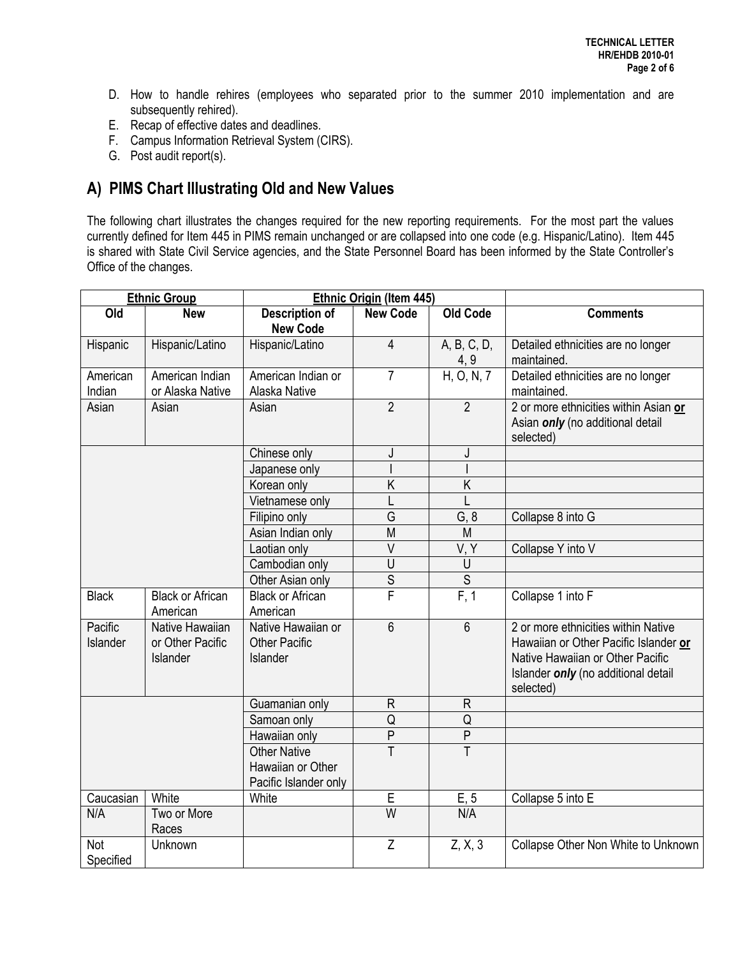- D. How to handle rehires (employees who separated prior to the summer 2010 implementation and are subsequently rehired).
- E. Recap of effective dates and deadlines.
- F. Campus Information Retrieval System (CIRS).
- G. Post audit report(s).

# **A) PIMS Chart Illustrating Old and New Values**

The following chart illustrates the changes required for the new reporting requirements. For the most part the values currently defined for Item 445 in PIMS remain unchanged or are collapsed into one code (e.g. Hispanic/Latino). Item 445 is shared with State Civil Service agencies, and the State Personnel Board has been informed by the State Controller's Office of the changes.

| <b>Ethnic Group</b> |                                                 | <b>Ethnic Origin (Item 445)</b>                                   |                 |                     |                                                                                                                                                                      |
|---------------------|-------------------------------------------------|-------------------------------------------------------------------|-----------------|---------------------|----------------------------------------------------------------------------------------------------------------------------------------------------------------------|
| Old                 | <b>New</b>                                      | <b>Description of</b><br><b>New Code</b>                          | <b>New Code</b> | <b>Old Code</b>     | <b>Comments</b>                                                                                                                                                      |
| Hispanic            | Hispanic/Latino                                 | Hispanic/Latino                                                   | $\overline{4}$  | A, B, C, D,<br>4, 9 | Detailed ethnicities are no longer<br>maintained.                                                                                                                    |
| American<br>Indian  | American Indian<br>or Alaska Native             | American Indian or<br>Alaska Native                               | $\overline{7}$  | H, O, N, 7          | Detailed ethnicities are no longer<br>maintained.                                                                                                                    |
| Asian               | Asian                                           | Asian                                                             | $\overline{2}$  | $\overline{2}$      | 2 or more ethnicities within Asian or<br>Asian only (no additional detail<br>selected)                                                                               |
|                     |                                                 | Chinese only                                                      | J               | J                   |                                                                                                                                                                      |
|                     |                                                 | Japanese only                                                     |                 |                     |                                                                                                                                                                      |
|                     |                                                 | Korean only                                                       | K               | $\overline{K}$      |                                                                                                                                                                      |
|                     |                                                 | Vietnamese only                                                   |                 |                     |                                                                                                                                                                      |
|                     |                                                 | Filipino only                                                     | G               | G, 8                | Collapse 8 into G                                                                                                                                                    |
|                     |                                                 | Asian Indian only                                                 | M               | M                   |                                                                                                                                                                      |
|                     |                                                 | Laotian only                                                      | $\vee$          | V, Y                | Collapse Y into V                                                                                                                                                    |
|                     |                                                 | Cambodian only                                                    | U               | U                   |                                                                                                                                                                      |
|                     |                                                 | Other Asian only                                                  | $\overline{s}$  | $\overline{S}$      |                                                                                                                                                                      |
| <b>Black</b>        | <b>Black or African</b><br>American             | <b>Black or African</b><br>American                               | F               | F, 1                | Collapse 1 into F                                                                                                                                                    |
| Pacific<br>Islander | Native Hawaiian<br>or Other Pacific<br>Islander | Native Hawaiian or<br><b>Other Pacific</b><br>Islander            | $6\phantom{1}$  | $6\phantom{1}$      | 2 or more ethnicities within Native<br>Hawaiian or Other Pacific Islander or<br>Native Hawaiian or Other Pacific<br>Islander only (no additional detail<br>selected) |
|                     |                                                 | Guamanian only                                                    | $\mathsf{R}$    | $\mathsf{R}$        |                                                                                                                                                                      |
|                     |                                                 | Samoan only                                                       | Q               | Q                   |                                                                                                                                                                      |
|                     |                                                 | Hawaiian only                                                     | $\overline{P}$  | $\sf P$             |                                                                                                                                                                      |
|                     |                                                 | <b>Other Native</b><br>Hawaiian or Other<br>Pacific Islander only | T               | T                   |                                                                                                                                                                      |
| Caucasian           | White                                           | White                                                             | E               | E, 5                | Collapse 5 into E                                                                                                                                                    |
| N/A                 | Two or More<br>Races                            |                                                                   | $\overline{W}$  | N/A                 |                                                                                                                                                                      |
| Not<br>Specified    | Unknown                                         |                                                                   | Z               | Z, X, 3             | Collapse Other Non White to Unknown                                                                                                                                  |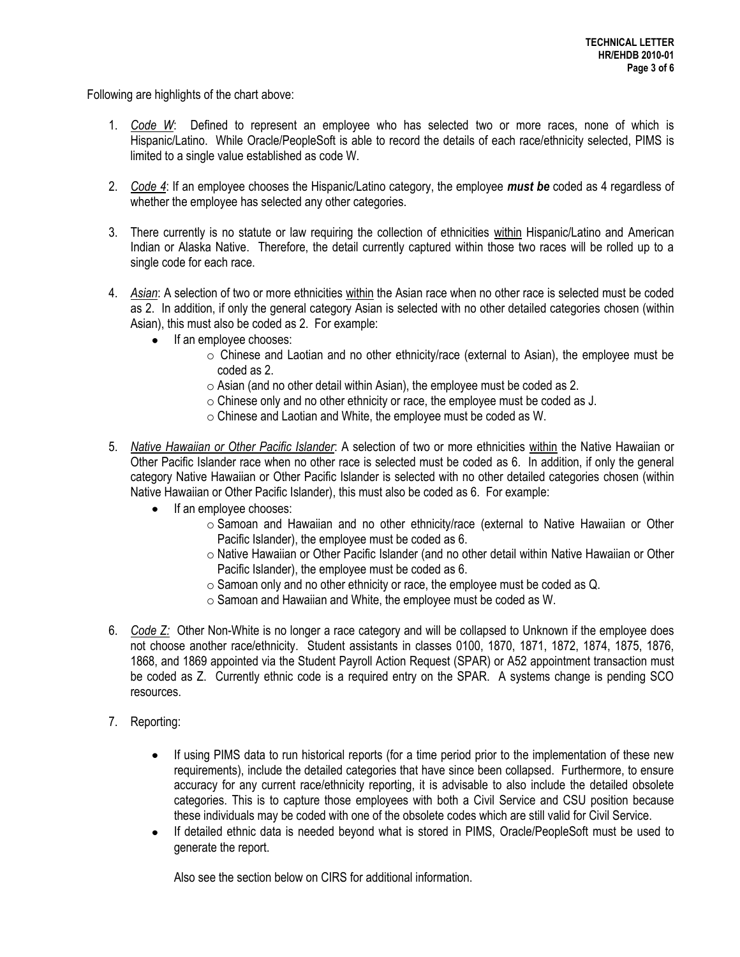Following are highlights of the chart above:

- 1. *Code W*: Defined to represent an employee who has selected two or more races, none of which is Hispanic/Latino. While Oracle/PeopleSoft is able to record the details of each race/ethnicity selected, PIMS is limited to a single value established as code W.
- 2. *Code 4*: If an employee chooses the Hispanic/Latino category, the employee *must be* coded as 4 regardless of whether the employee has selected any other categories.
- 3. There currently is no statute or law requiring the collection of ethnicities within Hispanic/Latino and American Indian or Alaska Native. Therefore, the detail currently captured within those two races will be rolled up to a single code for each race.
- 4. *Asian*: A selection of two or more ethnicities within the Asian race when no other race is selected must be coded as 2. In addition, if only the general category Asian is selected with no other detailed categories chosen (within Asian), this must also be coded as 2. For example:
	- If an employee chooses:
		- $\circ$  Chinese and Laotian and no other ethnicity/race (external to Asian), the employee must be coded as 2.
		- $\circ$  Asian (and no other detail within Asian), the employee must be coded as 2.
		- o Chinese only and no other ethnicity or race, the employee must be coded as J.
		- o Chinese and Laotian and White, the employee must be coded as W.
- 5. *Native Hawaiian or Other Pacific Islander*: A selection of two or more ethnicities within the Native Hawaiian or Other Pacific Islander race when no other race is selected must be coded as 6. In addition, if only the general category Native Hawaiian or Other Pacific Islander is selected with no other detailed categories chosen (within Native Hawaiian or Other Pacific Islander), this must also be coded as 6. For example:
	- If an employee chooses:  $\bullet$ 
		- $\circ$  Samoan and Hawaiian and no other ethnicity/race (external to Native Hawaiian or Other Pacific Islander), the employee must be coded as 6.
		- o Native Hawaiian or Other Pacific Islander (and no other detail within Native Hawaiian or Other Pacific Islander), the employee must be coded as 6.
		- $\circ$  Samoan only and no other ethnicity or race, the employee must be coded as Q.
		- o Samoan and Hawaiian and White, the employee must be coded as W.
- 6. *Code Z:* Other Non-White is no longer a race category and will be collapsed to Unknown if the employee does not choose another race/ethnicity. Student assistants in classes 0100, 1870, 1871, 1872, 1874, 1875, 1876, 1868, and 1869 appointed via the Student Payroll Action Request (SPAR) or A52 appointment transaction must be coded as Z. Currently ethnic code is a required entry on the SPAR. A systems change is pending SCO resources.
- 7. Reporting:
	- If using PIMS data to run historical reports (for a time period prior to the implementation of these new  $\bullet$ requirements), include the detailed categories that have since been collapsed. Furthermore, to ensure accuracy for any current race/ethnicity reporting, it is advisable to also include the detailed obsolete categories. This is to capture those employees with both a Civil Service and CSU position because these individuals may be coded with one of the obsolete codes which are still valid for Civil Service.
	- If detailed ethnic data is needed beyond what is stored in PIMS, Oracle/PeopleSoft must be used to  $\bullet$ generate the report.

Also see the section below on CIRS for additional information.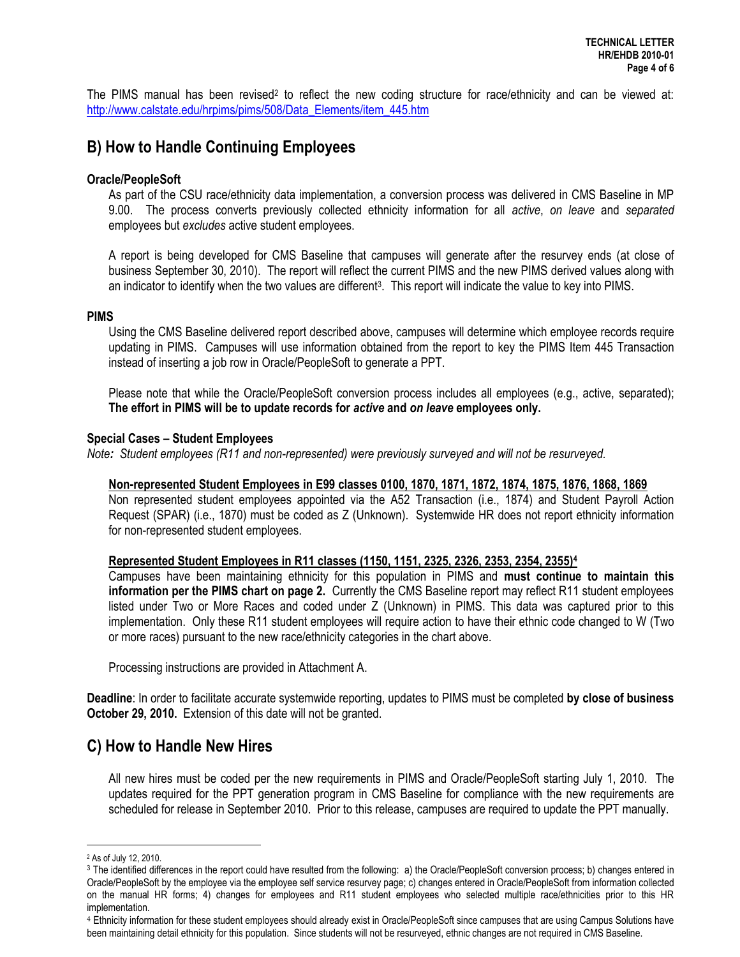The PIMS manual has been revised<sup>2</sup> to reflect the new coding structure for race/ethnicity and can be viewed at: [http://www.calstate.edu/hrpims/pims/508/Data\\_Elements/item\\_445.htm](http://www.calstate.edu/hrpims/pims/508/Data_Elements/item_445.htm)

## **B) How to Handle Continuing Employees**

#### **Oracle/PeopleSoft**

As part of the CSU race/ethnicity data implementation, a conversion process was delivered in CMS Baseline in MP 9.00. The process converts previously collected ethnicity information for all *active*, *on leave* and *separated* employees but *excludes* active student employees.

A report is being developed for CMS Baseline that campuses will generate after the resurvey ends (at close of business September 30, 2010). The report will reflect the current PIMS and the new PIMS derived values along with an indicator to identify when the two values are different<sup>3</sup>. This report will indicate the value to key into PIMS.

#### **PIMS**

Using the CMS Baseline delivered report described above, campuses will determine which employee records require updating in PIMS. Campuses will use information obtained from the report to key the PIMS Item 445 Transaction instead of inserting a job row in Oracle/PeopleSoft to generate a PPT.

Please note that while the Oracle/PeopleSoft conversion process includes all employees (e.g., active, separated); **The effort in PIMS will be to update records for** *active* **and** *on leave* **employees only.** 

#### **Special Cases – Student Employees**

*Note: Student employees (R11 and non-represented) were previously surveyed and will not be resurveyed.*

#### **Non-represented Student Employees in E99 classes 0100, 1870, 1871, 1872, 1874, 1875, 1876, 1868, 1869**

Non represented student employees appointed via the A52 Transaction (i.e., 1874) and Student Payroll Action Request (SPAR) (i.e., 1870) must be coded as Z (Unknown). Systemwide HR does not report ethnicity information for non-represented student employees.

#### **Represented Student Employees in R11 classes (1150, 1151, 2325, 2326, 2353, 2354, 2355)<sup>4</sup>**

Campuses have been maintaining ethnicity for this population in PIMS and **must continue to maintain this information per the PIMS chart on page 2.** Currently the CMS Baseline report may reflect R11 student employees listed under Two or More Races and coded under Z (Unknown) in PIMS. This data was captured prior to this implementation. Only these R11 student employees will require action to have their ethnic code changed to W (Two or more races) pursuant to the new race/ethnicity categories in the chart above.

Processing instructions are provided in Attachment A.

**Deadline**: In order to facilitate accurate systemwide reporting, updates to PIMS must be completed **by close of business October 29, 2010.** Extension of this date will not be granted.

## **C) How to Handle New Hires**

All new hires must be coded per the new requirements in PIMS and Oracle/PeopleSoft starting July 1, 2010. The updates required for the PPT generation program in CMS Baseline for compliance with the new requirements are scheduled for release in September 2010. Prior to this release, campuses are required to update the PPT manually.

 $\overline{a}$ 

<sup>2</sup> As of July 12, 2010.

<sup>3</sup> The identified differences in the report could have resulted from the following: a) the Oracle/PeopleSoft conversion process; b) changes entered in Oracle/PeopleSoft by the employee via the employee self service resurvey page; c) changes entered in Oracle/PeopleSoft from information collected on the manual HR forms; 4) changes for employees and R11 student employees who selected multiple race/ethnicities prior to this HR implementation.

<sup>4</sup> Ethnicity information for these student employees should already exist in Oracle/PeopleSoft since campuses that are using Campus Solutions have been maintaining detail ethnicity for this population. Since students will not be resurveyed, ethnic changes are not required in CMS Baseline.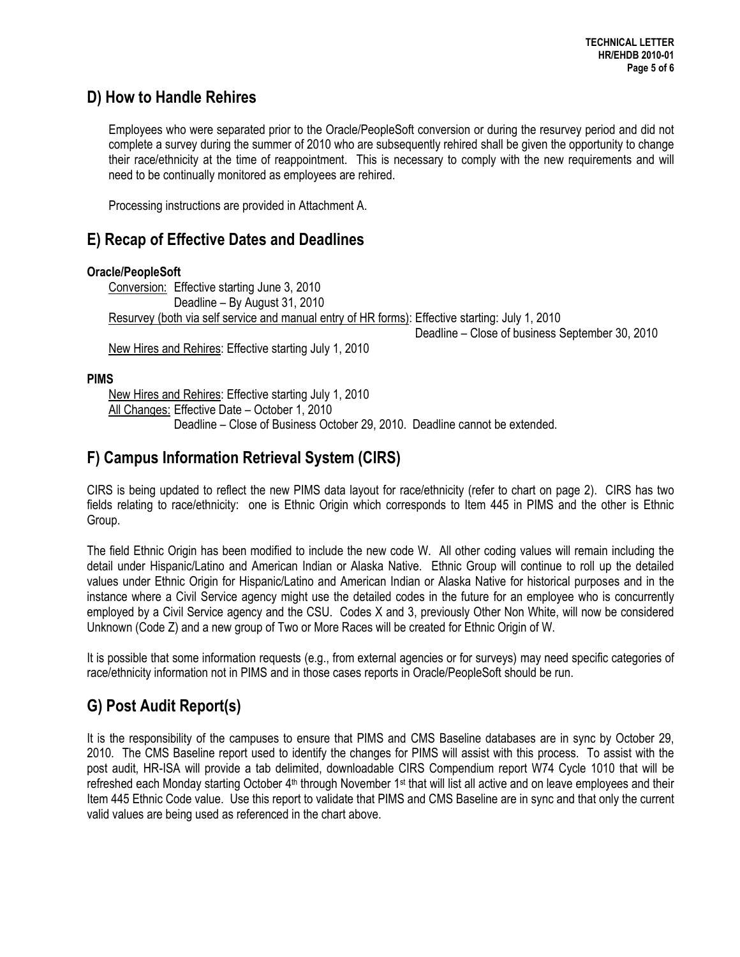## **D) How to Handle Rehires**

Employees who were separated prior to the Oracle/PeopleSoft conversion or during the resurvey period and did not complete a survey during the summer of 2010 who are subsequently rehired shall be given the opportunity to change their race/ethnicity at the time of reappointment. This is necessary to comply with the new requirements and will need to be continually monitored as employees are rehired.

Processing instructions are provided in Attachment A.

## **E) Recap of Effective Dates and Deadlines**

### **Oracle/PeopleSoft**

Conversion: Effective starting June 3, 2010 Deadline – By August 31, 2010 Resurvey (both via self service and manual entry of HR forms): Effective starting: July 1, 2010

 Deadline – Close of business September 30, 2010 New Hires and Rehires: Effective starting July 1, 2010

**PIMS**

New Hires and Rehires: Effective starting July 1, 2010 All Changes: Effective Date – October 1, 2010 Deadline – Close of Business October 29, 2010. Deadline cannot be extended.

# **F) Campus Information Retrieval System (CIRS)**

CIRS is being updated to reflect the new PIMS data layout for race/ethnicity (refer to chart on page 2). CIRS has two fields relating to race/ethnicity: one is Ethnic Origin which corresponds to Item 445 in PIMS and the other is Ethnic Group.

The field Ethnic Origin has been modified to include the new code W. All other coding values will remain including the detail under Hispanic/Latino and American Indian or Alaska Native. Ethnic Group will continue to roll up the detailed values under Ethnic Origin for Hispanic/Latino and American Indian or Alaska Native for historical purposes and in the instance where a Civil Service agency might use the detailed codes in the future for an employee who is concurrently employed by a Civil Service agency and the CSU. Codes X and 3, previously Other Non White, will now be considered Unknown (Code Z) and a new group of Two or More Races will be created for Ethnic Origin of W.

It is possible that some information requests (e.g., from external agencies or for surveys) may need specific categories of race/ethnicity information not in PIMS and in those cases reports in Oracle/PeopleSoft should be run.

# **G) Post Audit Report(s)**

It is the responsibility of the campuses to ensure that PIMS and CMS Baseline databases are in sync by October 29, 2010. The CMS Baseline report used to identify the changes for PIMS will assist with this process. To assist with the post audit, HR-ISA will provide a tab delimited, downloadable CIRS Compendium report W74 Cycle 1010 that will be refreshed each Monday starting October 4<sup>th</sup> through November 1<sup>st</sup> that will list all active and on leave employees and their Item 445 Ethnic Code value. Use this report to validate that PIMS and CMS Baseline are in sync and that only the current valid values are being used as referenced in the chart above.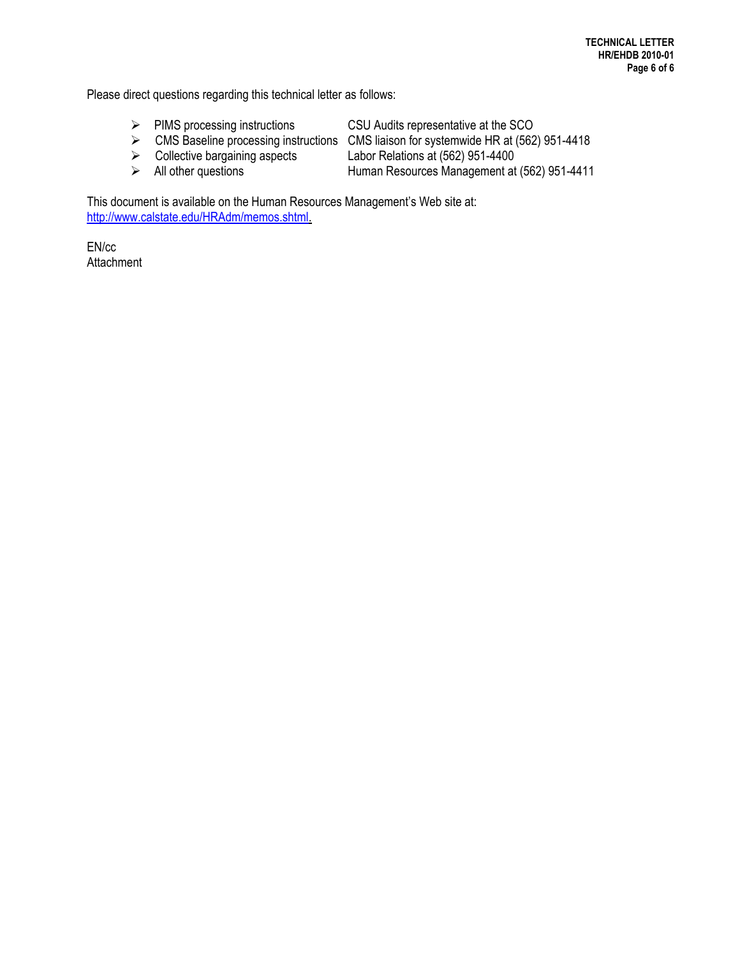Please direct questions regarding this technical letter as follows:

- PIMS processing instructions CSU Audits representative at the SCO
- -

► CMS Baseline processing instructions CMS liaison for systemwide HR at (562) 951-4418<br>► Collective bargaining aspects Labor Relations at (562) 951-4400

- 
- 

Labor Relations at (562) 951-4400

All other questions Human Resources Management at (562) 951-4411

This document is available on the Human Resources Management's Web site at: [http://www.calstate.edu/HRAdm/memos.shtml.](http://www.calstate.edu/HRAdm/memos.shtml)

EN/cc **Attachment**